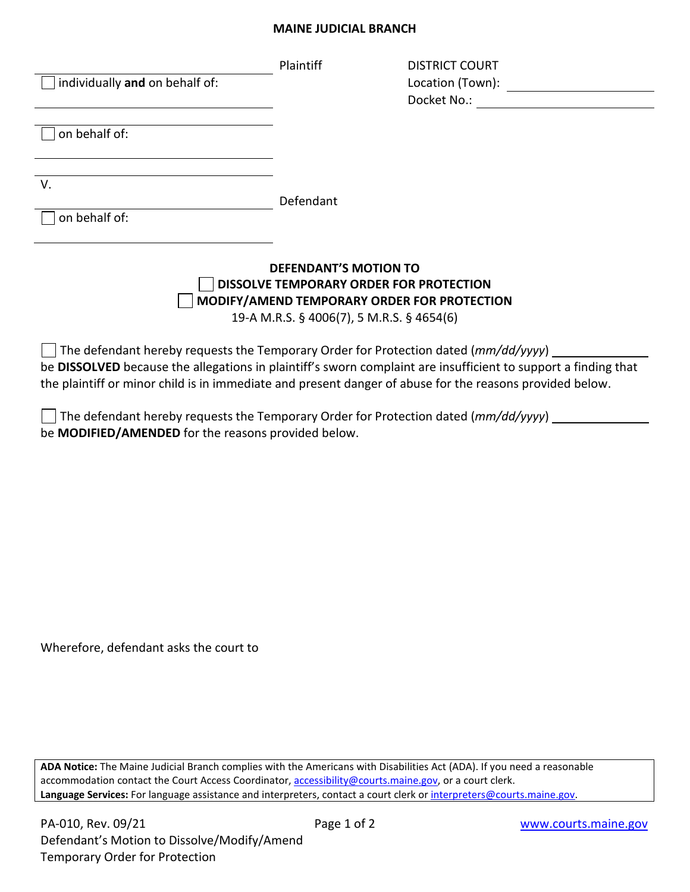## **MAINE JUDICIAL BRANCH**

| individually and on behalf of:                                                                                                                                                                                                                                                                                    | Plaintiff | DISTRICT COURT<br>Docket No.: |
|-------------------------------------------------------------------------------------------------------------------------------------------------------------------------------------------------------------------------------------------------------------------------------------------------------------------|-----------|-------------------------------|
| on behalf of:                                                                                                                                                                                                                                                                                                     |           |                               |
| V.                                                                                                                                                                                                                                                                                                                | Defendant |                               |
| on behalf of:                                                                                                                                                                                                                                                                                                     |           |                               |
| <b>DEFENDANT'S MOTION TO</b><br>DISSOLVE TEMPORARY ORDER FOR PROTECTION<br>MODIFY/AMEND TEMPORARY ORDER FOR PROTECTION<br>19-A M.R.S. § 4006(7), 5 M.R.S. § 4654(6)                                                                                                                                               |           |                               |
| The defendant hereby requests the Temporary Order for Protection dated (mm/dd/yyyy)<br>be DISSOLVED because the allegations in plaintiff's sworn complaint are insufficient to support a finding that<br>the plaintiff or minor child is in immediate and present danger of abuse for the reasons provided below. |           |                               |
| The defendant hereby requests the Temporary Order for Protection dated (mm/dd/yyyy)<br>be MODIFIED/AMENDED for the reasons provided below.                                                                                                                                                                        |           |                               |
|                                                                                                                                                                                                                                                                                                                   |           |                               |

Wherefore, defendant asks the court to

**ADA Notice:** The Maine Judicial Branch complies with the Americans with Disabilities Act (ADA). If you need a reasonable accommodation contact the Court Access Coordinator, **accessibility@courts.maine.gov**, or a court clerk. Language Services: For language assistance and interpreters, contact a court clerk or interpreters@courts.maine.gov.

 $\overline{\phantom{a}}$